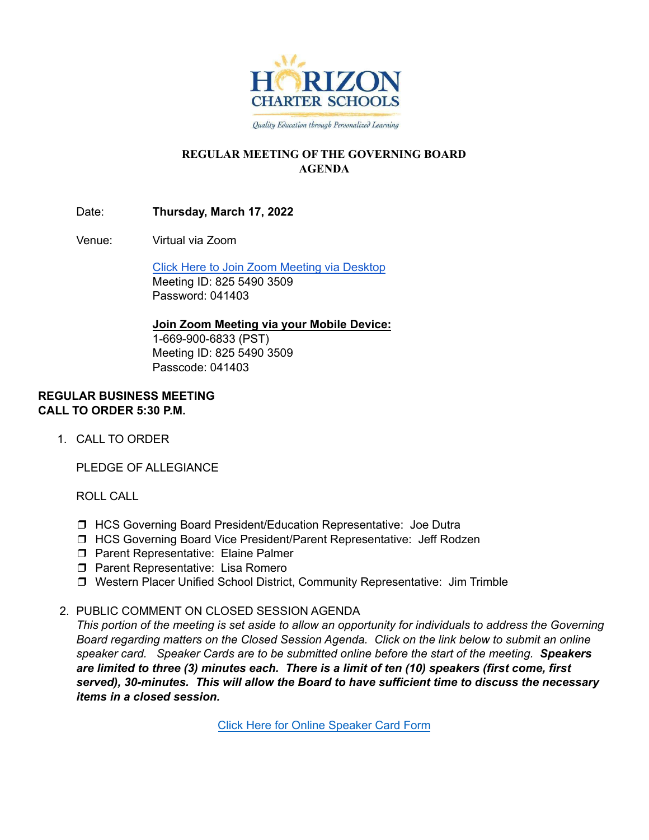

Quality Education through Personalized Learning

# **REGULAR MEETING OF THE GOVERNING BOARD AGENDA**

Date: **Thursday, March 17, 2022**

Venue: Virtual via Zoom

Click Here to Join Zoom Meeting via [Desktop](https://hcseagles-org.zoom.us/j/82554903509?pwd=aXZLd0lZdnR4V1JieGM0dFJQSFZWQT09) Meeting ID: 825 5490 3509 Password: 041403

# **Join Zoom Meeting via your Mobile Device:**

1-669-900-6833 (PST) Meeting ID: 825 5490 3509 Passcode: 041403

## **REGULAR BUSINESS MEETING CALL TO ORDER 5:30 P.M.**

1. CALL TO ORDER

PLEDGE OF ALLEGIANCE

ROLL CALL

- ❒ HCS Governing Board President/Education Representative: Joe Dutra
- ❒ HCS Governing Board Vice President/Parent Representative: Jeff Rodzen
- ❒ Parent Representative: Elaine Palmer
- ❒ Parent Representative: Lisa Romero
- ❒ Western Placer Unified School District, Community Representative: Jim Trimble

# 2. PUBLIC COMMENT ON CLOSED SESSION AGENDA

This portion of the meeting is set aside to allow an opportunity for individuals to address the Governing *Board regarding matters on the Closed Session Agenda. Click on the link below to submit an online speaker card. Speaker Cards are to be submitted online before the start of the meeting. Speakers are limited to three (3) minutes each. There is a limit of ten (10) speakers (first come, first served), 30-minutes. This will allow the Board to have sufficient time to discuss the necessary items in a closed session.*

Click Here for Online [Speaker](https://forms.gle/1Ad7NmftiSuScxKCA) Card Form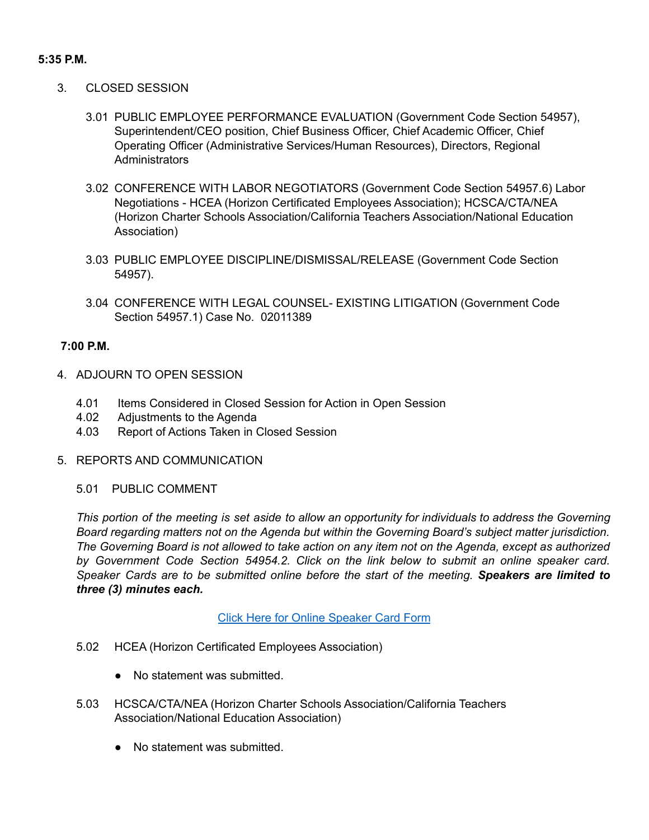### **5:35 P.M.**

- 3. CLOSED SESSION
	- 3.01 PUBLIC EMPLOYEE PERFORMANCE EVALUATION (Government Code Section 54957), Superintendent/CEO position, Chief Business Officer, Chief Academic Officer, Chief Operating Officer (Administrative Services/Human Resources), Directors, Regional **Administrators**
	- 3.02 CONFERENCE WITH LABOR NEGOTIATORS (Government Code Section 54957.6) Labor Negotiations - HCEA (Horizon Certificated Employees Association); HCSCA/CTA/NEA (Horizon Charter Schools Association/California Teachers Association/National Education Association)
	- 3.03 PUBLIC EMPLOYEE DISCIPLINE/DISMISSAL/RELEASE (Government Code Section 54957).
	- 3.04 CONFERENCE WITH LEGAL COUNSEL- EXISTING LITIGATION (Government Code Section 54957.1) Case No. 02011389

## **7:00 P.M.**

- 4. ADJOURN TO OPEN SESSION
	- 4.01 Items Considered in Closed Session for Action in Open Session
	- 4.02 Adjustments to the Agenda
	- 4.03 Report of Actions Taken in Closed Session
- 5. REPORTS AND COMMUNICATION

#### 5.01 PUBLIC COMMENT

This portion of the meeting is set aside to allow an opportunity for individuals to address the Governing *Board regarding matters not on the Agenda but within the Governing Board's subject matter jurisdiction.* The Governing Board is not allowed to take action on any item not on the Agenda, except as authorized *by Government Code Section 54954.2. Click on the link below to submit an online speaker card. Speaker Cards are to be submitted online before the start of the meeting. Speakers are limited to three (3) minutes each.*

#### Click Here for Online [Speaker](https://forms.gle/1Ad7NmftiSuScxKCA) Card Form

- 5.02 HCEA (Horizon Certificated Employees Association)
	- No statement was submitted.
- 5.03 HCSCA/CTA/NEA (Horizon Charter Schools Association/California Teachers Association/National Education Association)
	- No statement was submitted.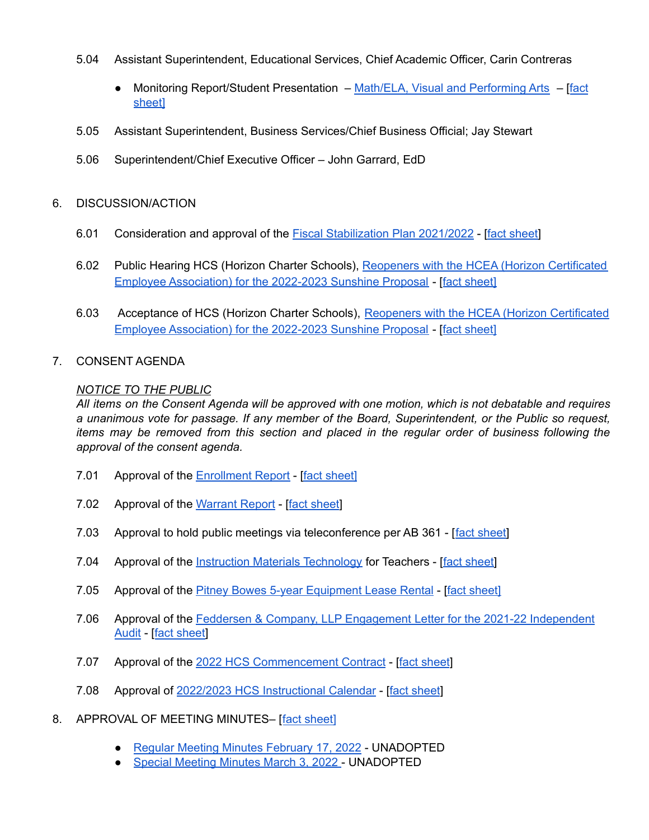- 5.04 Assistant Superintendent, Educational Services, Chief Academic Officer, Carin Contreras
	- Monitoring Report/Student Presentation Math/ELA, Visual and [Performing](https://docs.google.com/presentation/d/1ex0OgaEtXzvHK9psjc1n-ufXuLWw_BfgGJ9Zn1IhLKg/edit?usp=sharing) Arts [[fact](https://docs.google.com/document/d/1ZBZ0u-2d1UPcYurfnqGykSIWAdAD9WpnRw-zgXF3T3s/edit?usp=sharing) [sheet\]](https://docs.google.com/document/d/1ZBZ0u-2d1UPcYurfnqGykSIWAdAD9WpnRw-zgXF3T3s/edit?usp=sharing)
- 5.05 Assistant Superintendent, Business Services/Chief Business Official; Jay Stewart
- 5.06 Superintendent/Chief Executive Officer John Garrard, EdD

## 6. DISCUSSION/ACTION

- 6.01 Consideration and approval of the Fiscal [Stabilization](https://drive.google.com/file/d/1RUJ6HenPwaZ5CLIB-fionRlDdyxV5rlF/view?usp=sharing) Plan 2021/2022 [fact [sheet\]](https://docs.google.com/document/d/1ZnqqVDW6-yR7MjiX8nqLmwZD4z88JSq7RNoHn31nOo4/edit?usp=sharing)
- 6.02 Public Hearing HCS (Horizon Charter Schools), Reopeners with the HCEA (Horizon [Certificated](https://docs.google.com/document/d/1ASlLxyU9RfIbmgCip5kEY3aXrnW30YBuJFP4QGXHmQI/edit?usp=sharing) Employee [Association\)](https://docs.google.com/document/d/1ASlLxyU9RfIbmgCip5kEY3aXrnW30YBuJFP4QGXHmQI/edit?usp=sharing) for the 2022-2023 Sunshine Proposal - [fact [sheet\]](https://docs.google.com/document/d/1g1Y7q7mL-TbUO_cIqXPNwe9hHh5BQItbmmhUWt-Hu_0/edit?usp=sharing)
- 6.03 Acceptance of HCS (Horizon Charter Schools), Reopeners with the HCEA (Horizon [Certificated](https://docs.google.com/document/d/1ASlLxyU9RfIbmgCip5kEY3aXrnW30YBuJFP4QGXHmQI/edit?usp=sharing) Employee [Association\)](https://docs.google.com/document/d/1ASlLxyU9RfIbmgCip5kEY3aXrnW30YBuJFP4QGXHmQI/edit?usp=sharing) for the 2022-2023 Sunshine Proposal - Ifact [sheet](https://docs.google.com/document/d/1tKax6F1oeDUKG9E2NmZJykgw2K-qG1kG5oUyV6-9NhA/edit?usp=sharing)

### 7. CONSENT AGENDA

### *NOTICE TO THE PUBLIC*

All items on the Consent Agenda will be approved with one motion, which is not debatable and requires *a unanimous vote for passage. If any member of the Board, Superintendent, or the Public so request, items may be removed from this section and placed in the regular order of business following the approval of the consent agenda.*

- 7.01 Approval of the [Enrollment](https://docs.google.com/spreadsheets/d/1E45MbWIVI5iG693D5z9KqoXhA1GoDyEe_5oUWZjH8VY/edit?usp=sharing) Report [fact [sheet\]](https://docs.google.com/document/d/1sxKr3tqqh_RMrsbOoai5sltxzq3t0kDlfY_XAoBgnW0/edit?usp=sharing)
- 7.02 Approval of the [Warrant](https://drive.google.com/file/d/1-zlQCC5OQ8ocGdIIKGlKq6BWSb8Hr1Os/view?usp=sharing) Report [fact [sheet](https://docs.google.com/document/d/1ipEc0QmANDEL7s81m0nkAED14AS8hj92yaBUrTGv6Q4/edit?usp=sharing)]
- 7.03 Approval to hold public meetings via teleconference per AB 361 [fact [sheet\]](https://docs.google.com/document/d/18UUauwldr1lwQNX0XAcAvmTWUzxKUAce7QyLOvOKvBo/edit?usp=sharing)
- 7.04 Approval of the Instruction Materials [Technology](https://drive.google.com/file/d/10kgUe-hK6z4TIJKxi2pi95GCocWn_REK/view?usp=sharing) for Teachers [fact [sheet](https://docs.google.com/document/d/1rp1dvCchvIfDNyKBzBOHvL_V8USip2C5R88oGxIRPnA/edit?usp=sharing)]
- 7.05 Approval of the Pitney Bowes 5-year [Equipment](https://drive.google.com/file/d/1-f9mrMxZpxMTkhfp9r3KgPgSMZGpOFu3/view?usp=sharing) Lease Rental [fact [sheet\]](https://docs.google.com/document/d/12faELlzof-4s8Gr-yvFSE15uE5n1mVpBu7q80IYsxIQ/edit?usp=sharing)
- 7.06 Approval of the Feddersen & Company, LLP [Engagement](https://drive.google.com/file/d/1ldNgLNkqs7UgZ5-Qf_ugMGg8UKaz4RDi/view?usp=sharing) Letter for the 2021-22 Independent [Audit](https://drive.google.com/file/d/1ldNgLNkqs7UgZ5-Qf_ugMGg8UKaz4RDi/view?usp=sharing) - [fact [sheet\]](https://docs.google.com/document/d/1eY33Aq-YsIHGAIxKRr--4JKKmn0Jfw_D147TLnHkZ0A/edit?usp=sharing)
- 7.07 Approval of the 2022 HCS [Commencement](https://drive.google.com/file/d/1-SuJDN3w330DCW03YM3HrjRQwdBj7wgy/view?usp=sharing) Contract [fact [sheet](https://docs.google.com/document/d/12z_4NNKj_KX3_w0OPSGNDgolh3w40NiIsaUp1UQXLKs/edit?usp=sharing)]
- 7.08 Approval of 2022/2023 HCS [Instructional](https://drive.google.com/file/d/19tO9FuEHAB2rQkBOjDeNOjDGq52FF73B/view?usp=sharing) Calendar [fact [sheet](https://docs.google.com/document/d/1lMDbamH_9i0UGDJZTb3ZqKfwwDKdym-VSDdqfdizZa8/edit?usp=sharing)]
- 8. APPROVAL OF MEETING MINUTES– [fact [sheet\]](https://docs.google.com/document/d/1WJ_FumF3dz89MRKLBn-cNYbZuJodUOf75yluonMMid4/edit?usp=sharing)
	- Regular Meeting Minutes [February](https://docs.google.com/document/d/1DUO6-0syEOMaDrPOoiUDH9_-ISlfoB-m/edit?usp=sharing&ouid=106436144914709673495&rtpof=true&sd=true) 17, 2022 UNADOPTED
	- Special [Meeting](https://docs.google.com/document/d/1t8PqOm_hzWyezmtxxnaNh9E8cAGFzLIN/edit?usp=sharing&ouid=106436144914709673495&rtpof=true&sd=true) Minutes March 3, 2022 UNADOPTED